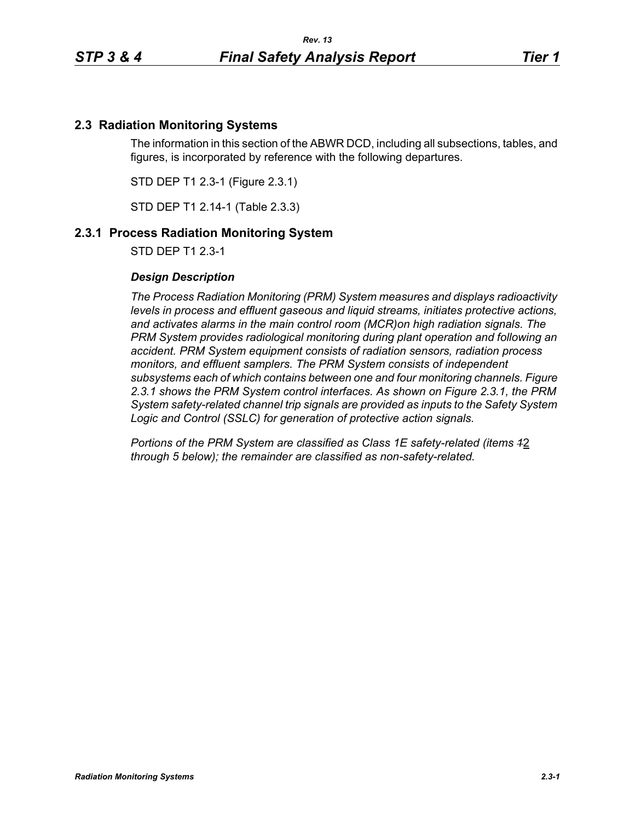## **2.3 Radiation Monitoring Systems**

The information in this section of the ABWR DCD, including all subsections, tables, and figures, is incorporated by reference with the following departures.

STD DEP T1 2.3-1 (Figure 2.3.1)

STD DEP T1 2.14-1 (Table 2.3.3)

## **2.3.1 Process Radiation Monitoring System**

STD DEP T1 2.3-1

#### *Design Description*

*The Process Radiation Monitoring (PRM) System measures and displays radioactivity levels in process and effluent gaseous and liquid streams, initiates protective actions, and activates alarms in the main control room (MCR)on high radiation signals. The PRM System provides radiological monitoring during plant operation and following an accident. PRM System equipment consists of radiation sensors, radiation process monitors, and effluent samplers. The PRM System consists of independent subsystems each of which contains between one and four monitoring channels. Figure 2.3.1 shows the PRM System control interfaces. As shown on Figure 2.3.1, the PRM System safety-related channel trip signals are provided as inputs to the Safety System Logic and Control (SSLC) for generation of protective action signals.*

*Portions of the PRM System are classified as Class 1E safety-related (items 1*2 *through 5 below); the remainder are classified as non-safety-related.*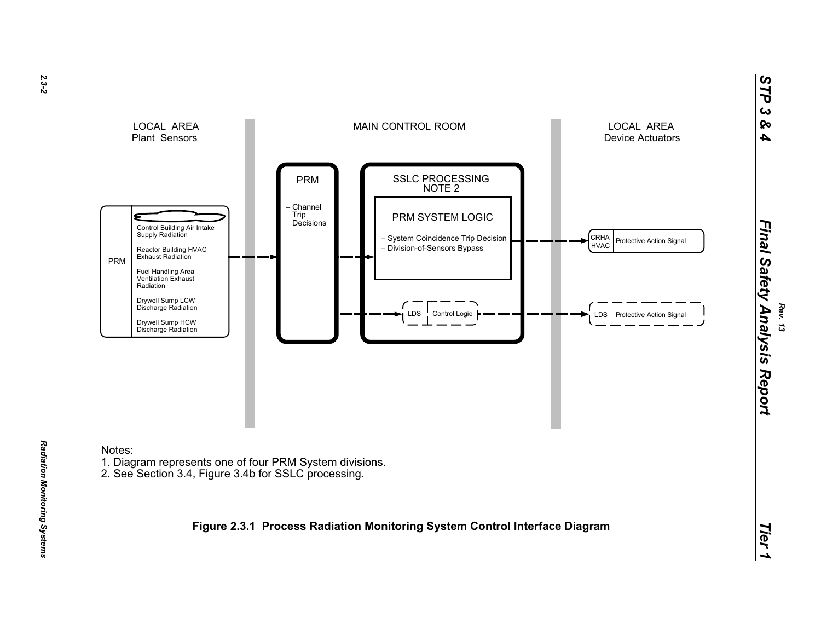

# Radiation Monitoring Systems *Radiation Monitoring Systems*

*2.3-2*

*Rev. 13*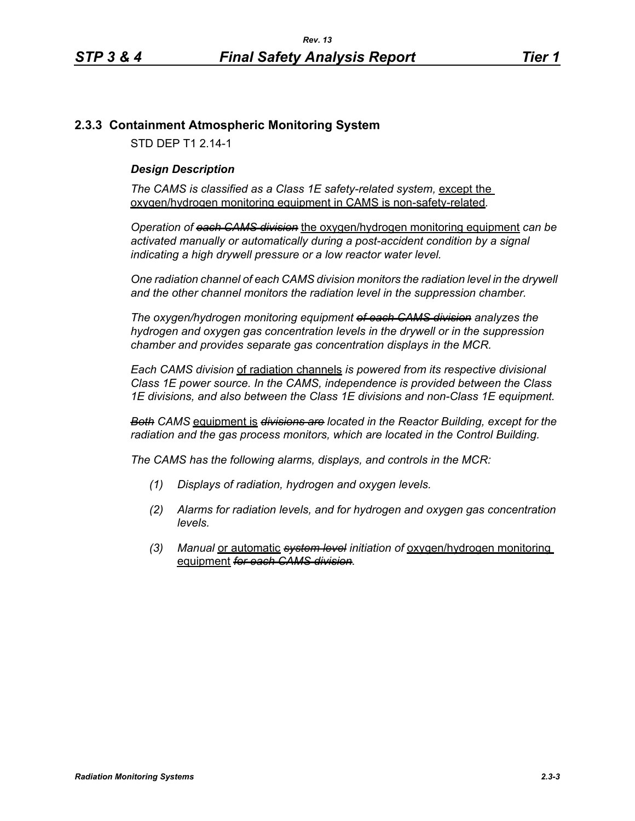# **2.3.3 Containment Atmospheric Monitoring System**

STD DEP T1 2.14-1

### *Design Description*

The CAMS is classified as a Class 1E safety-related system, except the oxygen/hydrogen monitoring equipment in CAMS is non-safety-related*.*

*Operation of each CAMS division* the oxygen/hydrogen monitoring equipment *can be*  activated manually or automatically during a post-accident condition by a signal *indicating a high drywell pressure or a low reactor water level.* 

*One radiation channel of each CAMS division monitors the radiation level in the drywell and the other channel monitors the radiation level in the suppression chamber.*

*The oxygen/hydrogen monitoring equipment of each CAMS division analyzes the hydrogen and oxygen gas concentration levels in the drywell or in the suppression chamber and provides separate gas concentration displays in the MCR.*

*Each CAMS division* of radiation channels *is powered from its respective divisional Class 1E power source. In the CAMS, independence is provided between the Class 1E divisions, and also between the Class 1E divisions and non-Class 1E equipment.*

*Both CAMS* equipment is *divisions are located in the Reactor Building, except for the radiation and the gas process monitors, which are located in the Control Building.*

*The CAMS has the following alarms, displays, and controls in the MCR:*

- *(1) Displays of radiation, hydrogen and oxygen levels.*
- *(2) Alarms for radiation levels, and for hydrogen and oxygen gas concentration levels.*
- *(3) Manual* or automatic *system level initiation of* oxygen/hydrogen monitoring equipment *for each CAMS division.*